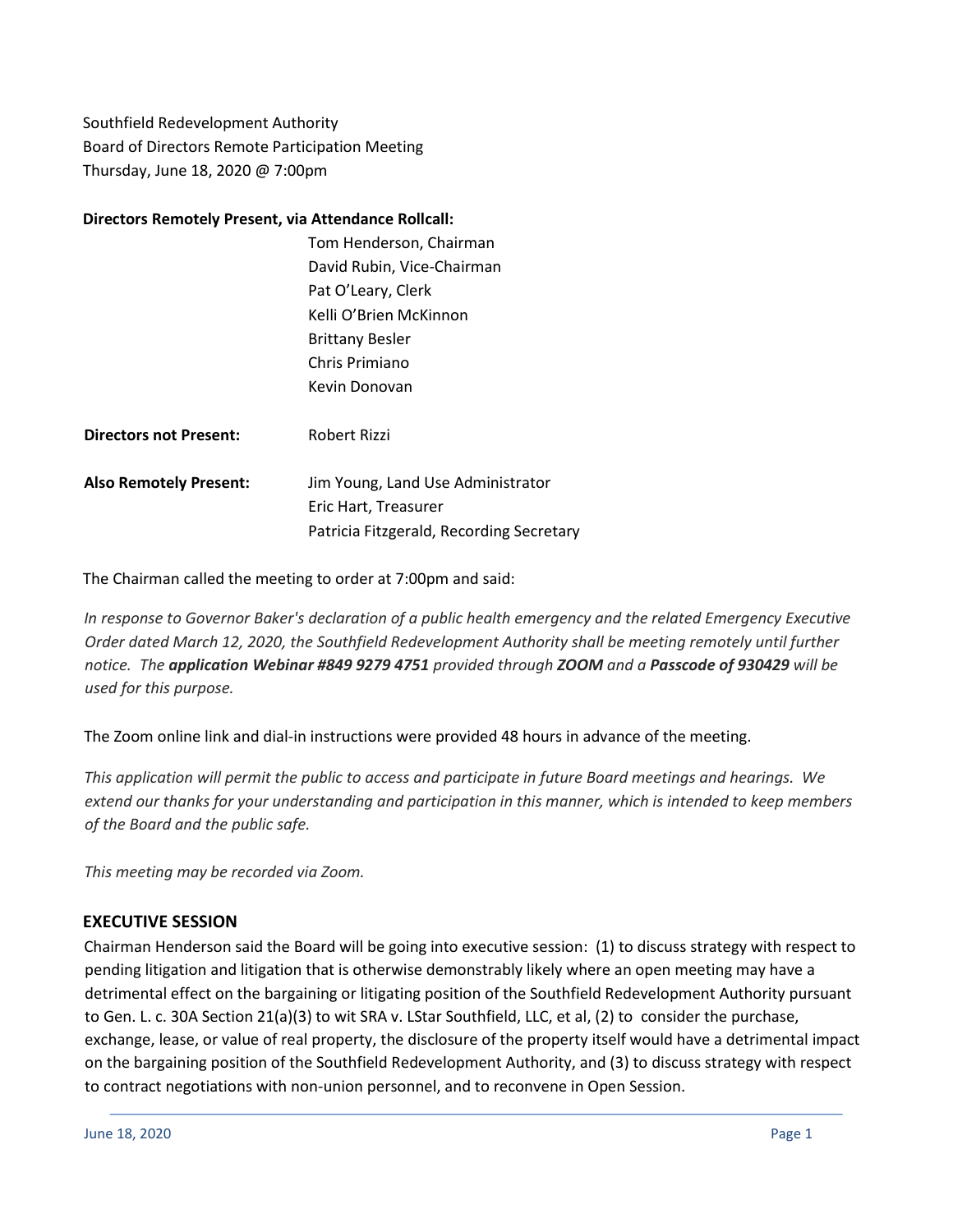Southfield Redevelopment Authority Board of Directors Remote Participation Meeting Thursday, June 18, 2020 @ 7:00pm

#### **Directors Remotely Present, via Attendance Rollcall:**

|                               | Tom Henderson, Chairman                  |
|-------------------------------|------------------------------------------|
|                               | David Rubin, Vice-Chairman               |
|                               | Pat O'Leary, Clerk                       |
|                               | Kelli O'Brien McKinnon                   |
|                               | <b>Brittany Besler</b>                   |
|                               | Chris Primiano                           |
|                               | Kevin Donovan                            |
| <b>Directors not Present:</b> | Robert Rizzi                             |
| <b>Also Remotely Present:</b> | Jim Young, Land Use Administrator        |
|                               | Eric Hart, Treasurer                     |
|                               | Patricia Fitzgerald, Recording Secretary |

The Chairman called the meeting to order at 7:00pm and said:

*In response to Governor Baker's declaration of a public health emergency and the related Emergency Executive Order dated March 12, 2020, the Southfield Redevelopment Authority shall be meeting remotely until further notice. The application Webinar #849 9279 4751 provided through ZOOM and a Passcode of 930429 will be used for this purpose.*

The Zoom online link and dial-in instructions were provided 48 hours in advance of the meeting.

This application will permit the public to access and participate in future Board meetings and hearings. We extend our thanks for your understanding and participation in this manner, which is intended to keep members *of the Board and the public safe.*

*This meeting may be recorded via Zoom.*

### **EXECUTIVE SESSION**

Chairman Henderson said the Board will be going into executive session: (1) to discuss strategy with respect to pending litigation and litigation that is otherwise demonstrably likely where an open meeting may have a detrimental effect on the bargaining or litigating position of the Southfield Redevelopment Authority pursuant to Gen. L. c. 30A Section 21(a)(3) to wit SRA v. LStar Southfield, LLC, et al, (2) to consider the purchase, exchange, lease, or value of real property, the disclosure of the property itself would have a detrimental impact on the bargaining position of the Southfield Redevelopment Authority, and (3) to discuss strategy with respect to contract negotiations with non-union personnel, and to reconvene in Open Session.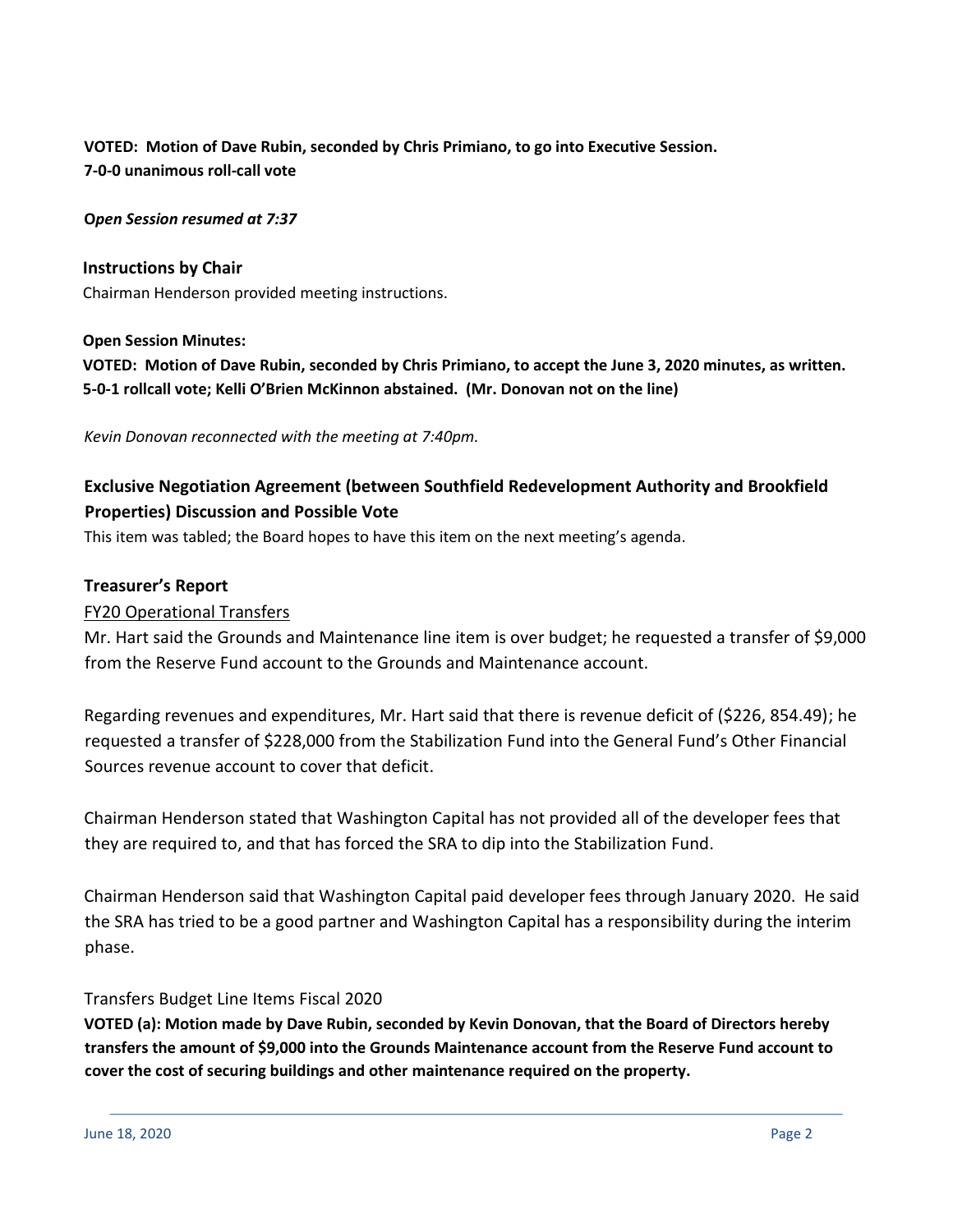# **VOTED: Motion of Dave Rubin, seconded by Chris Primiano, to go into Executive Session. 7-0-0 unanimous roll-call vote**

**O***pen Session resumed at 7:37*

**Instructions by Chair** Chairman Henderson provided meeting instructions.

### **Open Session Minutes:**

**VOTED: Motion of Dave Rubin, seconded by Chris Primiano, to accept the June 3, 2020 minutes, as written. 5-0-1 rollcall vote; Kelli O'Brien McKinnon abstained. (Mr. Donovan not on the line)**

*Kevin Donovan reconnected with the meeting at 7:40pm.*

# **Exclusive Negotiation Agreement (between Southfield Redevelopment Authority and Brookfield Properties) Discussion and Possible Vote**

This item was tabled; the Board hopes to have this item on the next meeting's agenda.

### **Treasurer's Report**

### FY20 Operational Transfers

Mr. Hart said the Grounds and Maintenance line item is over budget; he requested a transfer of \$9,000 from the Reserve Fund account to the Grounds and Maintenance account.

Regarding revenues and expenditures, Mr. Hart said that there is revenue deficit of (\$226, 854.49); he requested a transfer of \$228,000 from the Stabilization Fund into the General Fund's Other Financial Sources revenue account to cover that deficit.

Chairman Henderson stated that Washington Capital has not provided all of the developer fees that they are required to, and that has forced the SRA to dip into the Stabilization Fund.

Chairman Henderson said that Washington Capital paid developer fees through January 2020. He said the SRA has tried to be a good partner and Washington Capital has a responsibility during the interim phase.

### Transfers Budget Line Items Fiscal 2020

**VOTED (a): Motion made by Dave Rubin, seconded by Kevin Donovan, that the Board of Directors hereby transfers the amount of \$9,000 into the Grounds Maintenance account from the Reserve Fund account to cover the cost of securing buildings and other maintenance required on the property.**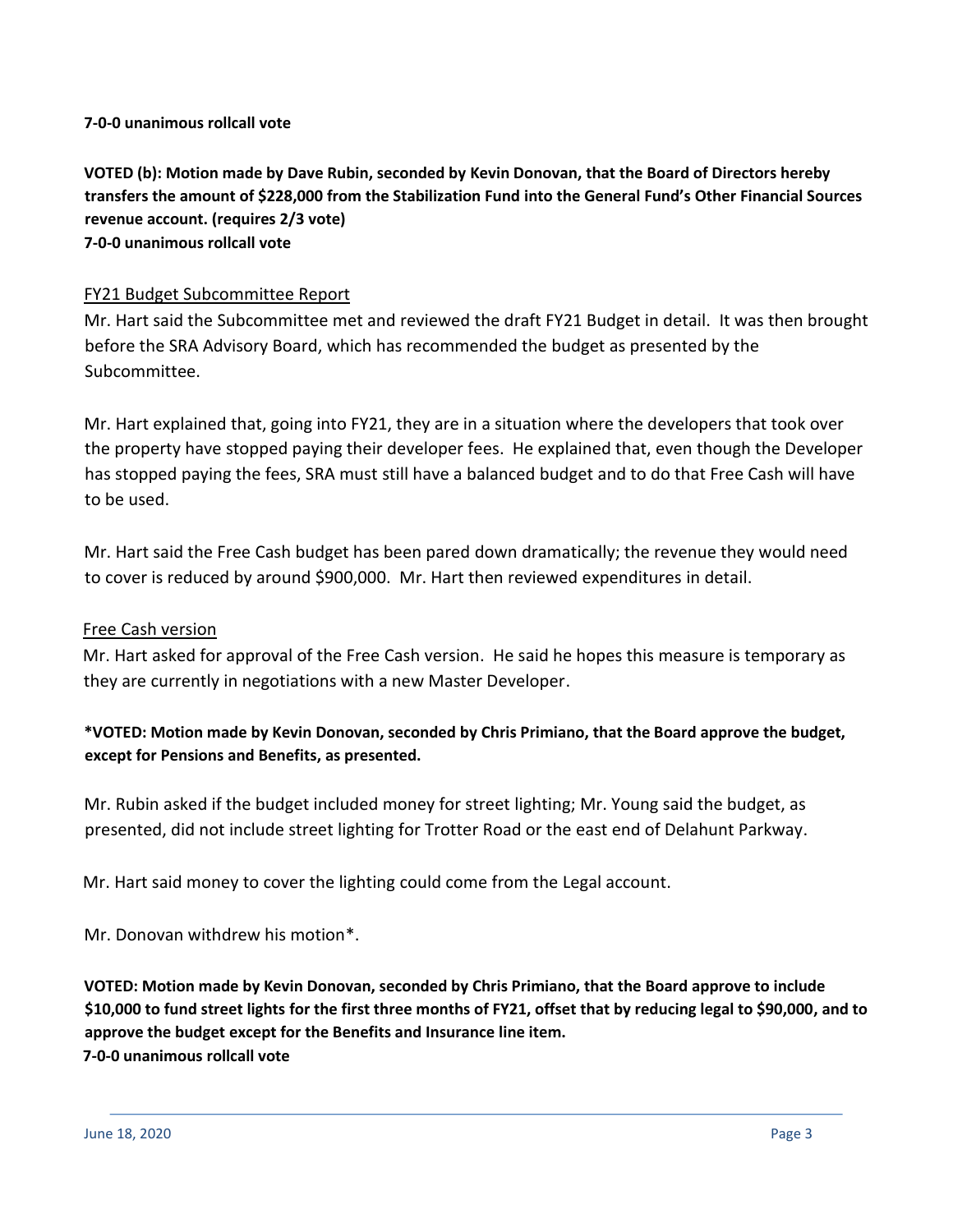**7-0-0 unanimous rollcall vote**

**VOTED (b): Motion made by Dave Rubin, seconded by Kevin Donovan, that the Board of Directors hereby transfers the amount of \$228,000 from the Stabilization Fund into the General Fund's Other Financial Sources revenue account. (requires 2/3 vote) 7-0-0 unanimous rollcall vote**

## FY21 Budget Subcommittee Report

Mr. Hart said the Subcommittee met and reviewed the draft FY21 Budget in detail. It was then brought before the SRA Advisory Board, which has recommended the budget as presented by the Subcommittee.

Mr. Hart explained that, going into FY21, they are in a situation where the developers that took over the property have stopped paying their developer fees. He explained that, even though the Developer has stopped paying the fees, SRA must still have a balanced budget and to do that Free Cash will have to be used.

Mr. Hart said the Free Cash budget has been pared down dramatically; the revenue they would need to cover is reduced by around \$900,000. Mr. Hart then reviewed expenditures in detail.

### Free Cash version

Mr. Hart asked for approval of the Free Cash version. He said he hopes this measure is temporary as they are currently in negotiations with a new Master Developer.

# **\*VOTED: Motion made by Kevin Donovan, seconded by Chris Primiano, that the Board approve the budget, except for Pensions and Benefits, as presented.**

Mr. Rubin asked if the budget included money for street lighting; Mr. Young said the budget, as presented, did not include street lighting for Trotter Road or the east end of Delahunt Parkway.

Mr. Hart said money to cover the lighting could come from the Legal account.

Mr. Donovan withdrew his motion\*.

**VOTED: Motion made by Kevin Donovan, seconded by Chris Primiano, that the Board approve to include \$10,000 to fund street lights for the first three months of FY21, offset that by reducing legal to \$90,000, and to approve the budget except for the Benefits and Insurance line item. 7-0-0 unanimous rollcall vote**